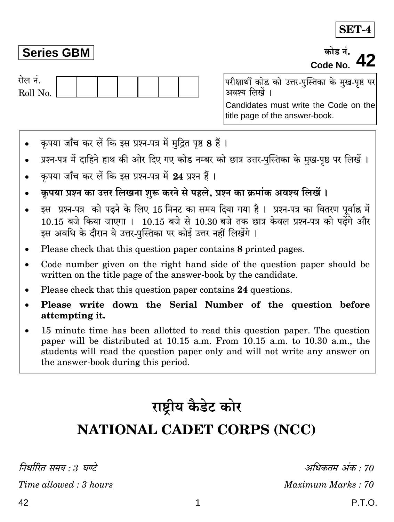### **Series GBM**

कोड़ नं. Code No

रोल नं. Roll No. परीक्षार्थी कोड को उत्तर-पुस्तिका के मुख-पृष्ठ पर अवश्य लिखें । Candidates must write the Code on the title page of the answer-book.

- कृपया जाँच कर लें कि इस प्रश्न-पत्र में मुद्रित पृष्ठ 8 हैं।  $\bullet$
- प्रश्न-पत्र में दाहिने हाथ की ओर दिए गए कोड नम्बर को छात्र उत्तर-पस्तिका के मख-पष्ठ पर लिखें ।
- कपया जाँच कर लें कि इस प्रश्न-पत्र में 24 प्रश्न हैं।
- कृपया प्रश्न का उत्तर लिखना शुरू करने से पहले, प्रश्न का क्रमांक अवश्य लिखें ।
- इस प्रश्न-पत्र को पढ़ने के लिए 15 मिनट का समय दिया गया है। प्रश्न-पत्र का वितरण पूर्वाह्न में .<br>10.15 बजे किया जाएगा । 10.15 बजे से 10.30 बजे तक छात्र केवल प्रश्न-पत्र को पढ़ेंगे और इस अवधि के दौरान वे उत्तर-पस्तिका पर कोई उत्तर नहीं लिखेंगे ।
- Please check that this question paper contains 8 printed pages.
- Code number given on the right hand side of the question paper should be written on the title page of the answer-book by the candidate.
- Please check that this question paper contains 24 questions.
- Please write down the Serial Number of the question before attempting it.
- 15 minute time has been allotted to read this question paper. The question paper will be distributed at 10.15 a.m. From 10.15 a.m. to 10.30 a.m., the students will read the question paper only and will not write any answer on the answer-book during this period.

# राष्ट्रीय कैडेट कोर

## **NATIONAL CADET CORPS (NCC)**

निर्धारित समय  $\cdot$  3 घण्टे

Time allowed: 3 hours

अधिकतम अंक · 70

Maximum Marks: 70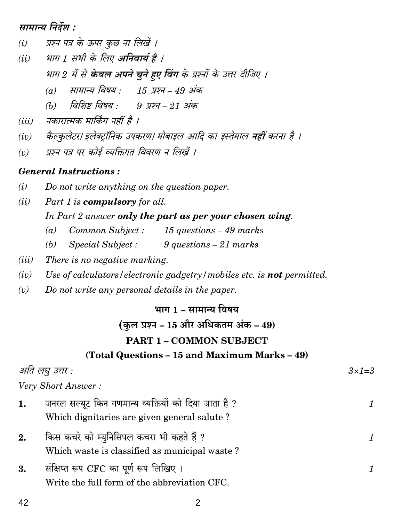सामान्य निर्देश :

- (i) प्रश्न पत्र के ऊपर कुछ ना लिखें ।
- भाग 1 सभी के लिए अनिवार्य है ।  $(ii)$ भाग 2 में से केवल अपने चुने हुए विंग के प्रश्नों के उत्तर दीजिए ।
	- (a) सामान्य विषय : 15 प्रश्न 49 अंक
	- (b) विशिष्ट् विषय : 9 प्रश्न 21 अंक
- नकारात्मक मार्किंग नहीं है ।  $(iii)$
- कैल्कलेटर। इलेक्टॉनिक उपकरण। मोबाइल आदि का इस्तेमाल नहीं करना है ।  $(iv)$
- प्रश्न पत्र पर कोई व्यक्तिगत विवरण न लिखें ।  $(v)$

#### **General Instructions:**

42

- $(i)$ Do not write anything on the question paper.
- Part 1 is compulsory for all.  $(ii)$

In Part 2 answer only the part as per your chosen wing.

- Common Subject: 15 questions 49 marks  $(a)$
- Special Subject :  $9$  questions  $-21$  marks  $(b)$
- $(iii)$ There is no negative marking.
- Use of calculators/electronic gadgetry/mobiles etc. is **not** permitted.  $(iv)$
- Do not write any personal details in the paper.  $(v)$

#### भाग 1 – सामान्य विषय

#### (कुल प्रश्न – 15 और अधिकतम अंक – 49)

#### **PART 1 - COMMON SUBJECT**

#### (Total Questions - 15 and Maximum Marks - 49)

| आत लघु उत्तर : |                                                                                                     | $3 \times 7 = 3$ |
|----------------|-----------------------------------------------------------------------------------------------------|------------------|
|                | Very Short Answer:                                                                                  |                  |
| 1.             | जनरल सल्यूट किन गणमान्य व्यक्तियों को दिया जाता है ?<br>Which dignitaries are given general salute? |                  |
| 2.             | किस कचरे को म्युनिसिपल कचरा भी कहते हैं ?<br>Which waste is classified as municipal waste?          |                  |
| 3.             | संक्षिप्त रूप CFC का पूर्ण रूप लिखिए।<br>Write the full form of the abbreviation CFC.               |                  |

2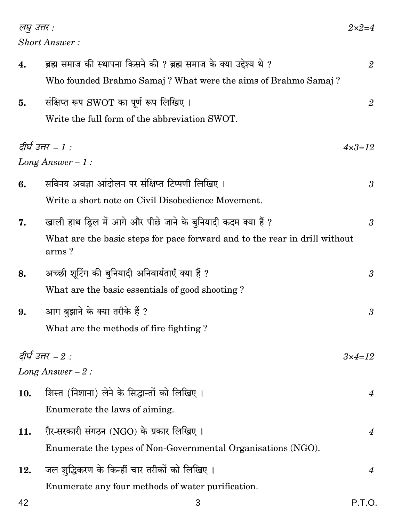लघु उत्तर : **Short Answer:** 

| 4.  | ब्रह्म समाज की स्थापना किसने की ? ब्रह्म समाज के क्या उद्देश्य थे ?                 | $\overline{2}$    |
|-----|-------------------------------------------------------------------------------------|-------------------|
|     | Who founded Brahmo Samaj? What were the aims of Brahmo Samaj?                       |                   |
| 5.  | संक्षिप्त रूप SWOT का पूर्ण रूप लिखिए।                                              | $\overline{2}$    |
|     | Write the full form of the abbreviation SWOT.                                       |                   |
|     | दीर्घ उत्तर – 1 :                                                                   | $4 \times 3 = 12$ |
|     | Long Answer $-1$ :                                                                  |                   |
| 6.  | सविनय अवज्ञा आंदोलन पर संक्षिप्त टिप्पणी लिखिए ।                                    | $\mathfrak{z}$    |
|     | Write a short note on Civil Disobedience Movement.                                  |                   |
| 7.  | खाली हाथ ड्रिल में आगे और पीछे जाने के बुनियादी कदम क्या हैं ?                      | $\mathfrak{Z}$    |
|     | What are the basic steps for pace forward and to the rear in drill without<br>arms? |                   |
| 8.  | अच्छी शूटिंग की बुनियादी अनिवार्यताएँ क्या हैं ?                                    | 3                 |
|     | What are the basic essentials of good shooting?                                     |                   |
| 9.  | आग बुझाने के क्या तरीके हैं ?                                                       | $\mathfrak{z}$    |
|     | What are the methods of fire fighting?                                              |                   |
|     | दीर्घ उत्तर – $2:$                                                                  | $3 \times 4 = 12$ |
|     | Long Answer $-2$ :                                                                  |                   |
|     | 10. शिस्त (निशाना) लेने के सिद्धान्तों को लिखिए।                                    | $\boldsymbol{4}$  |
|     | Enumerate the laws of aiming.                                                       |                   |
| 11. | ग़ैर-सरकारी संगठन (NGO) के प्रकार लिखिए ।                                           | $\overline{4}$    |
|     | Enumerate the types of Non-Governmental Organisations (NGO).                        |                   |
| 12. | जल शुद्धिकरण के किन्हीं चार तरीकों को लिखिए ।                                       | $\boldsymbol{4}$  |
|     | Enumerate any four methods of water purification.                                   |                   |
| 42  | 3                                                                                   | P.T.O.            |

 $2 \times 2 = 4$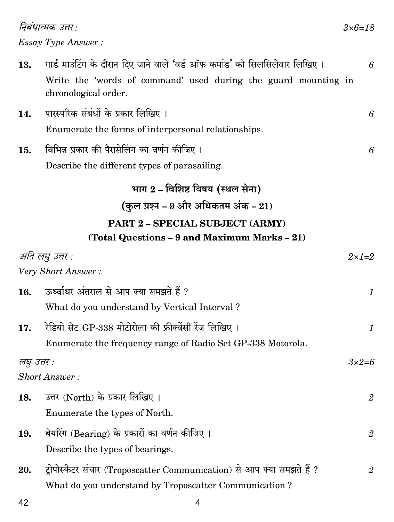निबंधात्मक उत्तर : **Essay Type Answer:** 

| 13. | गार्ड माउंटिंग के दौरान दिए जाने वाले 'वर्ड ऑफ़ कमांड' को सिलसिलेवार लिखिए।            |  |
|-----|----------------------------------------------------------------------------------------|--|
|     | Write the 'words of command' used during the guard mounting in<br>chronological order. |  |

- पारस्परिक संबंधों के प्रकार लिखिए। 14. Enumerate the forms of interpersonal relationships.
- विभिन्न प्रकार की पैरासेलिंग का वर्णन कीजिए। 15. Describe the different types of parasailing.

### भाग 2 - विशिष्ट विषय (स्थल सेना) (कुल प्रश्न – 9 और अधिकतम अंक –  $21$ ) PART 2 - SPECIAL SUBJECT (ARMY) (Total Questions - 9 and Maximum Marks - 21)

|             | अति लघु उत्तर :                                                        | $2\times1=2$   |
|-------------|------------------------------------------------------------------------|----------------|
|             | Very Short Answer:                                                     |                |
| 16.         | ऊर्ध्वाधर अंतराल से आप क्या समझते हैं ?                                | 1              |
|             | What do you understand by Vertical Interval?                           |                |
| 17.         | रेडियो सेट GP-338 मोटोरोला की फ्रीक्वेंसी रेंज लिखिए ।                 | 1              |
|             | Enumerate the frequency range of Radio Set GP-338 Motorola.            |                |
| लघु उत्तर : |                                                                        | $3\times2=6$   |
|             | <b>Short Answer:</b>                                                   |                |
| 18.         | उत्तर (North) के प्रकार लिखिए।                                         | $\overline{2}$ |
|             | Enumerate the types of North.                                          |                |
| 19.         | बेयरिंग (Bearing) के प्रकारों का वर्णन कीजिए ।                         | $\overline{2}$ |
|             | Describe the types of bearings.                                        |                |
| 20.         | ट्रोपोस्कैटर संचार (Troposcatter Communication) से आप क्या समझते हैं ? | $\overline{2}$ |
|             | What do you understand by Troposcatter Communication?                  |                |
|             |                                                                        |                |

6

6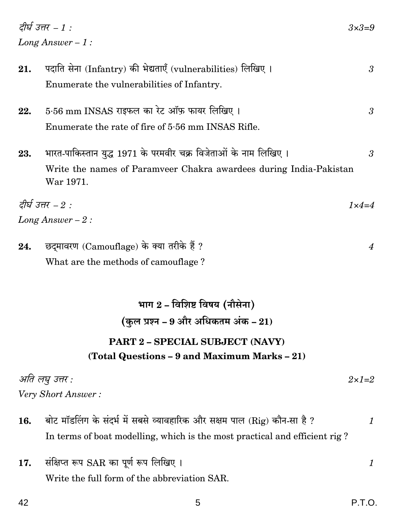| 21. | पदाति सेना (Infantry) की भेद्यताएँ (vulnerabilities) लिखिए।                     | 3             |
|-----|---------------------------------------------------------------------------------|---------------|
|     | Enumerate the vulnerabilities of Infantry.                                      |               |
| 22. | 5.56 mm INSAS राइफल का रेट ऑफ़ फायर लिखिए।                                      | 3             |
|     | Enumerate the rate of fire of 5.56 mm INSAS Rifle.                              |               |
| 23. | भारत-पाकिस्तान युद्ध 1971 के परमवीर चक्र विजेताओं के नाम लिखिए ।                | 3             |
|     | Write the names of Paramveer Chakra awardees during India-Pakistan<br>War 1971. |               |
|     | दीर्घ उत्तर – $2:$                                                              | $1\times 4=4$ |
|     | Long Answer $-2$ :                                                              |               |
| 24. | छदमावरण (Camouflage) के क्या तरीके हैं ?                                        | 4             |

What are the methods of camouflage?

# भाग 2 - विशिष्ट विषय (नौसेना) (कुल प्रश्न - 9 और अधिकतम अंक - 21) PART 2 - SPECIAL SUBJECT (NAVY) (Total Questions - 9 and Maximum Marks - 21)

अति लघु उत्तर :  $2\times1=2$ Very Short Answer:

- बोट मॉडलिंग के संदर्भ में सबसे व्यावहारिक और सक्षम पाल (Rig) कौन-सा है ? 16.  $\mathbf{1}$ In terms of boat modelling, which is the most practical and efficient rig?
- संक्षिप्त रूप SAR का पूर्ण रूप लिखिए । 17.  $\boldsymbol{\mathit{1}}$ Write the full form of the abbreviation SAR.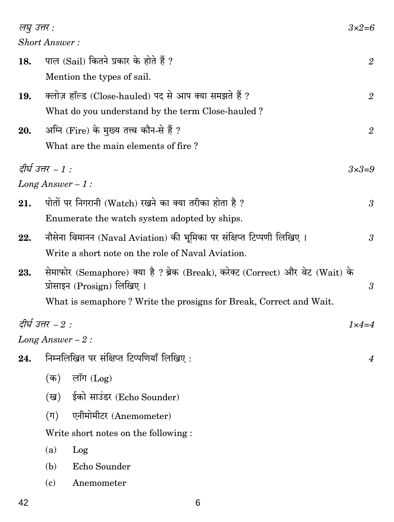| लघु उत्तर : |                      |                                                                                                              | $3\times2=6$         |
|-------------|----------------------|--------------------------------------------------------------------------------------------------------------|----------------------|
|             | <b>Short Answer:</b> |                                                                                                              |                      |
| 18.         |                      | पाल (Sail) कितने प्रकार के होते हैं ?                                                                        | $\overline{2}$       |
|             |                      | Mention the types of sail.                                                                                   |                      |
| 19.         |                      | क्लोज़ हॉल्ड (Close-hauled) पद से आप क्या समझते हैं ?                                                        | $\overline{2}$       |
|             |                      | What do you understand by the term Close-hauled?                                                             |                      |
| 20.         |                      | अग्नि (Fire) के मुख्य तत्त्व कौन-से हैं ?                                                                    | $\mathfrak{2}$       |
|             |                      | What are the main elements of fire?                                                                          |                      |
|             | दीर्घ उत्तर – 1 :    |                                                                                                              | $3\times3=9$         |
|             | Long Answer $-1$ :   |                                                                                                              |                      |
| 21.         |                      | पोतों पर निगरानी (Watch) रखने का क्या तरीका होता है ?                                                        | $\boldsymbol{\beta}$ |
|             |                      | Enumerate the watch system adopted by ships.                                                                 |                      |
| 22.         |                      | नौसेना विमानन (Naval Aviation) की भूमिका पर संक्षिप्त टिप्पणी लिखिए।                                         | 3                    |
|             |                      | Write a short note on the role of Naval Aviation.                                                            |                      |
| 23.         |                      | सेमाफोर (Semaphore) क्या है ? ब्रेक (Break), करेक्ट (Correct) और वेट (Wait) के<br>प्रोसाइन (Prosign) लिखिए । | 3                    |
|             |                      | What is semaphore? Write the prosigns for Break, Correct and Wait.                                           |                      |
|             | दीर्घ उत्तर – $2$ :  |                                                                                                              | $1\times 4=4$        |
|             | Long Answer $-2$ :   |                                                                                                              |                      |
|             |                      | 24. निम्नलिखित पर संक्षिप्त टिप्पणियाँ लिखिए:                                                                | $\boldsymbol{4}$     |
|             | (क)                  | लॉग $(Log)$                                                                                                  |                      |
|             | (ख)                  | ईको साउंडर (Echo Sounder)                                                                                    |                      |
|             | $(\Pi)$              | एनीमोमीटर (Anemometer)                                                                                       |                      |
|             |                      | Write short notes on the following :                                                                         |                      |
|             | (a)                  | Log                                                                                                          |                      |
|             | (b)                  | Echo Sounder                                                                                                 |                      |
|             | (c)                  | Anemometer                                                                                                   |                      |
|             |                      |                                                                                                              |                      |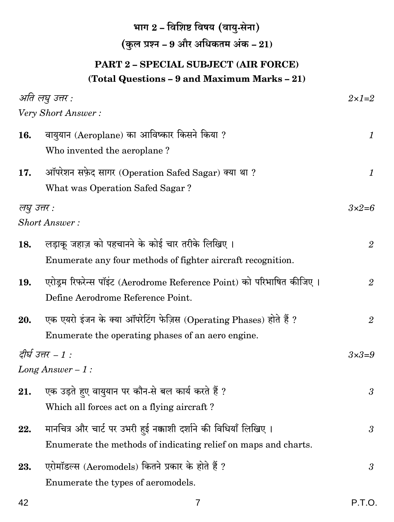## भाग  $2$  – विशिष्ट विषय (वायु-सेना) (कुल प्रश्न – 9 और अधिकतम अंक –  $21)$

#### PART 2 - SPECIAL SUBJECT (AIR FORCE) (Total Questions - 9 and Maximum Marks - 21)

| अति लघु उत्तर :<br>$2\times1=2$                                        |                      |  |
|------------------------------------------------------------------------|----------------------|--|
| Very Short Answer:                                                     |                      |  |
| वायुयान (Aeroplane) का आविष्कार किसने किया ?                           | $\mathcal{I}$        |  |
| Who invented the aeroplane?                                            |                      |  |
| ऑपरेशन सफ़ेद सागर (Operation Safed Sagar) क्या था ?                    | $\mathcal{I}$        |  |
| What was Operation Safed Sagar?                                        |                      |  |
| लघु उत्तर :                                                            | $3\times2=6$         |  |
| <b>Short Answer:</b>                                                   |                      |  |
| लड़ाकू जहाज़ को पहचानने के कोई चार तरीके लिखिए ।                       | $\overline{2}$       |  |
| Enumerate any four methods of fighter aircraft recognition.            |                      |  |
| एरोड्रम रिफरेन्स पॉइंट (Aerodrome Reference Point) को परिभाषित कीजिए । | $\overline{2}$       |  |
| Define Aerodrome Reference Point.                                      |                      |  |
| एक एयरो इंजन के क्या ऑपरेटिंग फेज़िस (Operating Phases) होते हैं ?     | $\overline{2}$       |  |
| Enumerate the operating phases of an aero engine.                      |                      |  |
| दीर्घ उत्तर – 1 :                                                      |                      |  |
| Long Answer $-1$ :                                                     |                      |  |
| एक उड़ते हुए वायुयान पर कौन-से बल कार्य करते हैं ?                     | $\boldsymbol{\beta}$ |  |
| Which all forces act on a flying aircraft?                             |                      |  |
| मानचित्र और चार्ट पर उभरी हुई नक्काशी दर्शाने की विधियाँ लिखिए ।       | 3                    |  |
| Enumerate the methods of indicating relief on maps and charts.         |                      |  |
| एरोमॉडल्स (Aeromodels) कितने प्रकार के होते हैं ?                      | 3                    |  |
| Enumerate the types of aeromodels.                                     |                      |  |
|                                                                        |                      |  |

 $\overline{7}$ 

42

P.T.O.